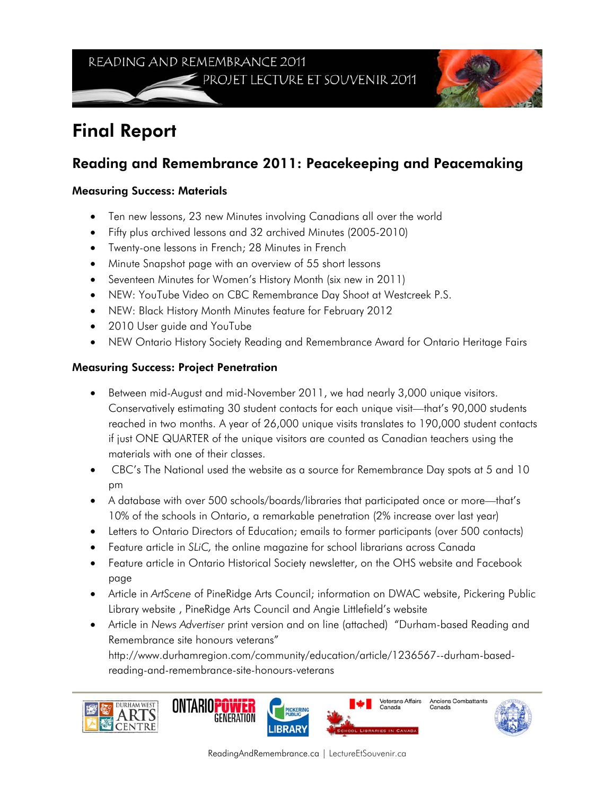READING AND REMEMBRANCE 2011 PROJET LECTURE ET SOUVENIR 2011



## Final Report

## Reading and Remembrance 2011: Peacekeeping and Peacemaking

## Measuring Success: Materials

- Ten new lessons, 23 new Minutes involving Canadians all over the world
- Fifty plus archived lessons and 32 archived Minutes (2005-2010)
- Twenty-one lessons in French; 28 Minutes in French
- Minute Snapshot page with an overview of 55 short lessons
- Seventeen Minutes for Women's History Month (six new in 2011)
- NEW: YouTube Video on CBC Remembrance Day Shoot at Westcreek P.S.
- NEW: Black History Month Minutes feature for February 2012
- 2010 User guide and YouTube
- NEW Ontario History Society Reading and Remembrance Award for Ontario Heritage Fairs

## Measuring Success: Project Penetration

- Between mid-August and mid-November 2011, we had nearly 3,000 unique visitors. Conservatively estimating 30 student contacts for each unique visit—that's 90,000 students reached in two months. A year of 26,000 unique visits translates to 190,000 student contacts if just ONE QUARTER of the unique visitors are counted as Canadian teachers using the materials with one of their classes.
- CBC's The National used the website as a source for Remembrance Day spots at 5 and 10 pm
- A database with over 500 schools/boards/libraries that participated once or more—that's 10% of the schools in Ontario, a remarkable penetration (2% increase over last year)
- Letters to Ontario Directors of Education; emails to former participants (over 500 contacts)
- Feature article in *SLiC,* the online magazine for school librarians across Canada
- Feature article in Ontario Historical Society newsletter, on the OHS website and Facebook page
- Article in *ArtScene* of PineRidge Arts Council; information on DWAC website, Pickering Public Library website , PineRidge Arts Council and Angie Littlefield's website
- Article in *News Advertiser* print version and on line (attached) "Durham-based Reading and Remembrance site honours veterans"

http://www.durhamregion.com/community/education/article/1236567--durham-basedreading-and-remembrance-site-honours-veterans









Anciens Combattants<br>Canada